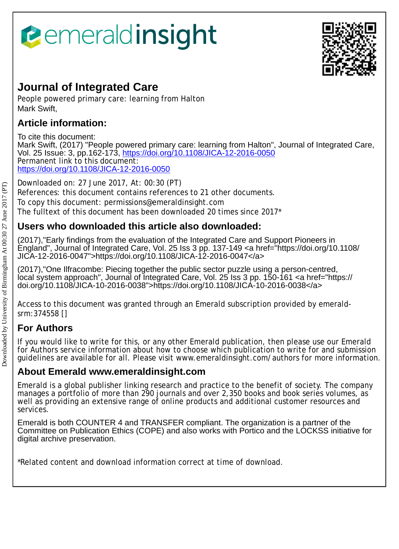# *<u><b>emeraldinsight</u>*



## **Journal of Integrated Care**

People powered primary care: learning from Halton Mark Swift

## **Article information:**

To cite this document: Mark Swift, (2017) "People powered primary care: learning from Halton", Journal of Integrated Care, Vol. 25 Issue: 3, pp.162-173, <https://doi.org/10.1108/JICA-12-2016-0050> Permanent link to this document: <https://doi.org/10.1108/JICA-12-2016-0050>

Downloaded on: 27 June 2017, At: 00:30 (PT) References: this document contains references to 21 other documents. To copy this document: permissions@emeraldinsight.com The fulltext of this document has been downloaded 20 times since 2017\*

## **Users who downloaded this article also downloaded:**

(2017),"Early findings from the evaluation of the Integrated Care and Support Pioneers in England", Journal of Integrated Care, Vol. 25 Iss 3 pp. 137-149 <a href="https://doi.org/10.1108/ JICA-12-2016-0047">https://doi.org/10.1108/JICA-12-2016-0047</a>

(2017),"One Ilfracombe: Piecing together the public sector puzzle using a person-centred, local system approach", Journal of Integrated Care, Vol. 25 Iss 3 pp. 150-161 <a href="https:// doi.org/10.1108/JICA-10-2016-0038">https://doi.org/10.1108/JICA-10-2016-0038</a>

Access to this document was granted through an Emerald subscription provided by emeraldsrm:374558 []

## **For Authors**

If you would like to write for this, or any other Emerald publication, then please use our Emerald for Authors service information about how to choose which publication to write for and submission guidelines are available for all. Please visit www.emeraldinsight.com/authors for more information.

## **About Emerald www.emeraldinsight.com**

Emerald is a global publisher linking research and practice to the benefit of society. The company manages a portfolio of more than 290 journals and over 2,350 books and book series volumes, as well as providing an extensive range of online products and additional customer resources and services.

Emerald is both COUNTER 4 and TRANSFER compliant. The organization is a partner of the Committee on Publication Ethics (COPE) and also works with Portico and the LOCKSS initiative for digital archive preservation.

\*Related content and download information correct at time of download.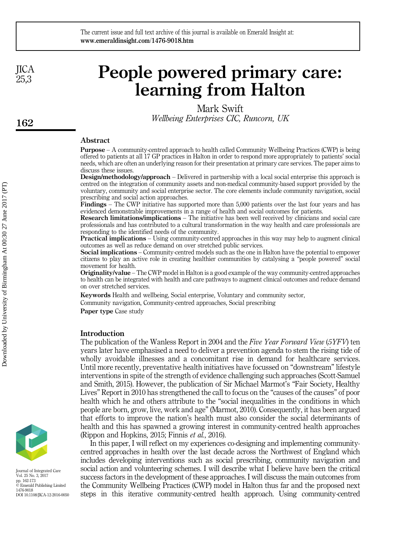**IICA** 25,3

162

## People powered primary care: learning from Halton

Mark Swift

Wellbeing Enterprises CIC, Runcorn, UK

#### Abstract

Purpose – A community-centred approach to health called Community Wellbeing Practices (CWP) is being offered to patients at all 17 GP practices in Halton in order to respond more appropriately to patients' social needs, which are often an underlying reason for their presentation at primary care services. The paper aims to discuss these issues.

Design/methodology/approach – Delivered in partnership with a local social enterprise this approach is centred on the integration of community assets and non-medical community-based support provided by the voluntary, community and social enterprise sector. The core elements include community navigation, social prescribing and social action approaches.

Findings – The CWP initiative has supported more than 5,000 patients over the last four years and has evidenced demonstrable improvements in a range of health and social outcomes for patients.

Research limitations/implications – The initiative has been well received by clinicians and social care professionals and has contributed to a cultural transformation in the way health and care professionals are responding to the identified needs of the community.

Practical implications – Using community-centred approaches in this way may help to augment clinical outcomes as well as reduce demand on over stretched public services.

Social implications – Community-centred models such as the one in Halton have the potential to empower citizens to play an active role in creating healthier communities by catalysing a "people powered" social movement for health.

Originality/value – The CWP model in Halton is a good example of the way community-centred approaches to health can be integrated with health and care pathways to augment clinical outcomes and reduce demand on over stretched services.

Keywords Health and wellbeing, Social enterprise, Voluntary and community sector,

Community navigation, Community-centred approaches, Social prescribing

Paper type Case study

#### Introduction

The publication of the Wanless Report in 2004 and the Five Year Forward View (5YFV) ten years later have emphasised a need to deliver a prevention agenda to stem the rising tide of wholly avoidable illnesses and a concomitant rise in demand for healthcare services. Until more recently, preventative health initiatives have focussed on "downstream" lifestyle interventions in spite of the strength of evidence challenging such approaches (Scott-Samuel and Smith, 2015). However, the publication of Sir Michael Marmot's "Fair Society, Healthy Lives" Report in 2010 has strengthened the call to focus on the "causes of the causes" of poor health which he and others attribute to the "social inequalities in the conditions in which people are born, grow, live, work and age" (Marmot, 2010). Consequently, it has been argued that efforts to improve the nation's health must also consider the social determinants of health and this has spawned a growing interest in community-centred health approaches (Rippon and Hopkins, 2015; Finnis et al., 2016).

In this paper, I will reflect on my experiences co-designing and implementing communitycentred approaches in health over the last decade across the Northwest of England which includes developing interventions such as social prescribing, community navigation and social action and volunteering schemes. I will describe what I believe have been the critical success factors in the development of these approaches. I will discuss the main outcomes from the Community Wellbeing Practices (CWP) model in Halton thus far and the proposed next steps in this iterative community-centred health approach. Using community-centred



Journal of Integrated Care Vol. 25 No. 3, 2017 pp. 162-173 © Emerald Publishing Limited 1476-9018 DOI 10.1108/JICA-12-2016-0050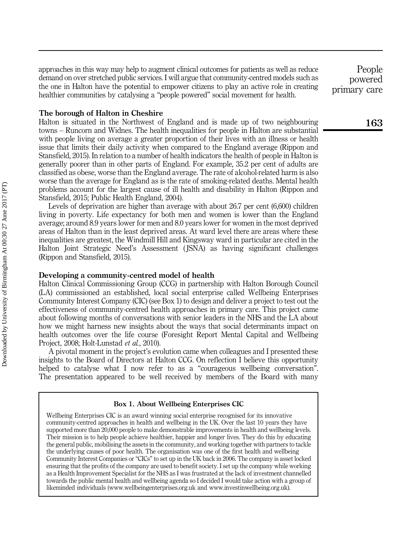approaches in this way may help to augment clinical outcomes for patients as well as reduce demand on over stretched public services. I will argue that community-centred models such as the one in Halton have the potential to empower citizens to play an active role in creating healthier communities by catalysing a "people powered" social movement for health.

#### The borough of Halton in Cheshire

Halton is situated in the Northwest of England and is made up of two neighbouring towns – Runcorn and Widnes. The health inequalities for people in Halton are substantial with people living on average a greater proportion of their lives with an illness or health issue that limits their daily activity when compared to the England average (Rippon and Stansfield, 2015). In relation to a number of health indicators the health of people in Halton is generally poorer than in other parts of England. For example, 35.2 per cent of adults are classified as obese, worse than the England average. The rate of alcohol-related harm is also worse than the average for England as is the rate of smoking-related deaths. Mental health problems account for the largest cause of ill health and disability in Halton (Rippon and Stansfield, 2015; Public Health England, 2004).

Levels of deprivation are higher than average with about 26.7 per cent (6,600) children living in poverty. Life expectancy for both men and women is lower than the England average; around 8.9 years lower for men and 8.0 years lower for women in the most deprived areas of Halton than in the least deprived areas. At ward level there are areas where these inequalities are greatest, the Windmill Hill and Kingsway ward in particular are cited in the Halton Joint Strategic Need's Assessment ( JSNA) as having significant challenges (Rippon and Stansfield, 2015).

#### Developing a community-centred model of health

Halton Clinical Commissioning Group (CCG) in partnership with Halton Borough Council (LA) commissioned an established, local social enterprise called Wellbeing Enterprises Community Interest Company (CIC) (see Box 1) to design and deliver a project to test out the effectiveness of community-centred health approaches in primary care. This project came about following months of conversations with senior leaders in the NHS and the LA about how we might harness new insights about the ways that social determinants impact on health outcomes over the life course (Foresight Report Mental Capital and Wellbeing Project, 2008; Holt-Lunstad et al., 2010).

A pivotal moment in the project's evolution came when colleagues and I presented these insights to the Board of Directors at Halton CCG. On reflection I believe this opportunity helped to catalyse what I now refer to as a "courageous wellbeing conversation". The presentation appeared to be well received by members of the Board with many

#### Box 1. About Wellbeing Enterprises CIC

Wellbeing Enterprises CIC is an award winning social enterprise recognised for its innovative community-centred approaches in health and wellbeing in the UK. Over the last 10 years they have supported more than 20,000 people to make demonstrable improvements in health and wellbeing levels. Their mission is to help people achieve healthier, happier and longer lives. They do this by educating the general public, mobilising the assets in the community, and working together with partners to tackle the underlying causes of poor health. The organisation was one of the first health and wellbeing Community Interest Companies or "CICs" to set up in the UK back in 2006. The company is asset locked ensuring that the profits of the company are used to benefit society. I set up the company while working as a Health Improvement Specialist for the NHS as I was frustrated at the lack of investment channelled towards the public mental health and wellbeing agenda so I decided I would take action with a group of likeminded individuals [\(www.wellbeingenterprises.org.uk](www.wellbeingenterprises.org.uk) and [www.investinwellbeing.org.uk\)](www.investinwellbeing.org.uk).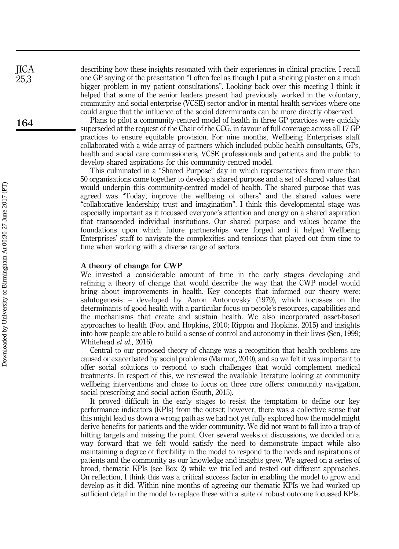describing how these insights resonated with their experiences in clinical practice. I recall one GP saying of the presentation "I often feel as though I put a sticking plaster on a much bigger problem in my patient consultations". Looking back over this meeting I think it helped that some of the senior leaders present had previously worked in the voluntary, community and social enterprise (VCSE) sector and/or in mental health services where one could argue that the influence of the social determinants can be more directly observed.

Plans to pilot a community-centred model of health in three GP practices were quickly superseded at the request of the Chair of the CCG, in favour of full coverage across all 17 GP practices to ensure equitable provision. For nine months, Wellbeing Enterprises staff collaborated with a wide array of partners which included public health consultants, GPs, health and social care commissioners, VCSE professionals and patients and the public to develop shared aspirations for this community-centred model.

This culminated in a "Shared Purpose" day in which representatives from more than 50 organisations came together to develop a shared purpose and a set of shared values that would underpin this community-centred model of health. The shared purpose that was agreed was "Today, improve the wellbeing of others" and the shared values were "collaborative leadership; trust and imagination". I think this developmental stage was especially important as it focussed everyone's attention and energy on a shared aspiration that transcended individual institutions. Our shared purpose and values became the foundations upon which future partnerships were forged and it helped Wellbeing Enterprises' staff to navigate the complexities and tensions that played out from time to time when working with a diverse range of sectors.

#### A theory of change for CWP

We invested a considerable amount of time in the early stages developing and refining a theory of change that would describe the way that the CWP model would bring about improvements in health. Key concepts that informed our theory were: salutogenesis – developed by Aaron Antonovsky (1979), which focusses on the determinants of good health with a particular focus on people's resources, capabilities and the mechanisms that create and sustain health. We also incorporated asset-based approaches to health (Foot and Hopkins, 2010; Rippon and Hopkins, 2015) and insights into how people are able to build a sense of control and autonomy in their lives (Sen, 1999; Whitehead *et al.*, 2016).

Central to our proposed theory of change was a recognition that health problems are caused or exacerbated by social problems (Marmot, 2010), and so we felt it was important to offer social solutions to respond to such challenges that would complement medical treatments. In respect of this, we reviewed the available literature looking at community wellbeing interventions and chose to focus on three core offers: community navigation, social prescribing and social action (South, 2015).

It proved difficult in the early stages to resist the temptation to define our key performance indicators (KPIs) from the outset; however, there was a collective sense that this might lead us down a wrong path as we had not yet fully explored how the model might derive benefits for patients and the wider community. We did not want to fall into a trap of hitting targets and missing the point. Over several weeks of discussions, we decided on a way forward that we felt would satisfy the need to demonstrate impact while also maintaining a degree of flexibility in the model to respond to the needs and aspirations of patients and the community as our knowledge and insights grew. We agreed on a series of broad, thematic KPIs (see Box 2) while we trialled and tested out different approaches. On reflection, I think this was a critical success factor in enabling the model to grow and develop as it did. Within nine months of agreeing our thematic KPIs we had worked up sufficient detail in the model to replace these with a suite of robust outcome focussed KPIs.

164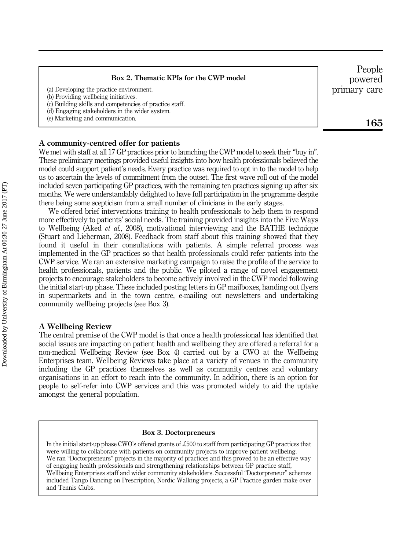| Box 2. Thematic KPIs for the CWP model                                                                    | People<br>powered |
|-----------------------------------------------------------------------------------------------------------|-------------------|
| (a) Developing the practice environment.<br>(b) Providing wellbeing initiatives.                          | primary care      |
| (c) Building skills and competencies of practice staff.<br>(d) Engaging stakeholders in the wider system. |                   |
| (e) Marketing and communication.                                                                          | 165               |

#### A community-centred offer for patients

We met with staff at all 17 GP practices prior to launching the CWP model to seek their "buy in". These preliminary meetings provided useful insights into how health professionals believed the model could support patient's needs. Every practice was required to opt in to the model to help us to ascertain the levels of commitment from the outset. The first wave roll out of the model included seven participating GP practices, with the remaining ten practices signing up after six months. We were understandably delighted to have full participation in the programme despite there being some scepticism from a small number of clinicians in the early stages.

We offered brief interventions training to health professionals to help them to respond more effectively to patients' social needs. The training provided insights into the Five Ways to Wellbeing (Aked et al., 2008), motivational interviewing and the BATHE technique (Stuart and Lieberman, 2008). Feedback from staff about this training showed that they found it useful in their consultations with patients. A simple referral process was implemented in the GP practices so that health professionals could refer patients into the CWP service. We ran an extensive marketing campaign to raise the profile of the service to health professionals, patients and the public. We piloted a range of novel engagement projects to encourage stakeholders to become actively involved in the CWP model following the initial start-up phase. These included posting letters in GP mailboxes, handing out flyers in supermarkets and in the town centre, e-mailing out newsletters and undertaking community wellbeing projects (see Box 3).

#### A Wellbeing Review

The central premise of the CWP model is that once a health professional has identified that social issues are impacting on patient health and wellbeing they are offered a referral for a non-medical Wellbeing Review (see Box 4) carried out by a CWO at the Wellbeing Enterprises team. Wellbeing Reviews take place at a variety of venues in the community including the GP practices themselves as well as community centres and voluntary organisations in an effort to reach into the community. In addition, there is an option for people to self-refer into CWP services and this was promoted widely to aid the uptake amongst the general population.

#### Box 3. Doctorpreneurs

In the initial start-up phase CWO's offered grants of £500 to staff from participating GP practices that were willing to collaborate with patients on community projects to improve patient wellbeing. We ran "Doctorpreneurs" projects in the majority of practices and this proved to be an effective way of engaging health professionals and strengthening relationships between GP practice staff, Wellbeing Enterprises staff and wider community stakeholders. Successful "Doctorpreneur" schemes included Tango Dancing on Prescription, Nordic Walking projects, a GP Practice garden make over and Tennis Clubs.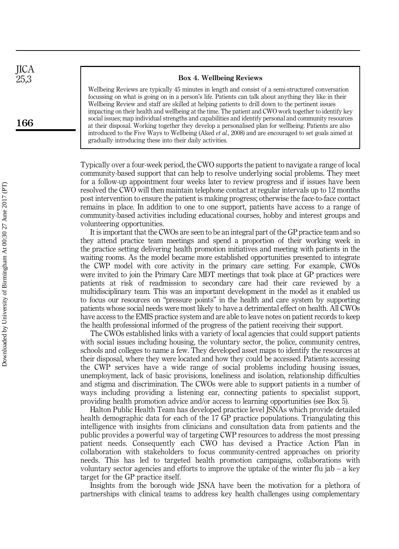| Í.<br>ı |  |
|---------|--|
|         |  |

166

#### Box 4. Wellbeing Reviews

Wellbeing Reviews are typically 45 minutes in length and consist of a semi-structured conversation focussing on what is going on in a person's life. Patients can talk about anything they like in their Wellbeing Review and staff are skilled at helping patients to drill down to the pertinent issues impacting on their health and wellbeing at the time. The patient and CWO work together to identify key social issues; map individual strengths and capabilities and identify personal and community resources at their disposal. Working together they develop a personalised plan for wellbeing. Patients are also introduced to the Five Ways to Wellbeing (Aked *et al.*, 2008) and are encouraged to set goals aimed at gradually introducing these into their daily activities.

Typically over a four-week period, the CWO supports the patient to navigate a range of local community-based support that can help to resolve underlying social problems. They meet for a follow-up appointment four weeks later to review progress and if issues have been resolved the CWO will then maintain telephone contact at regular intervals up to 12 months post intervention to ensure the patient is making progress; otherwise the face-to-face contact remains in place. In addition to one to one support, patients have access to a range of community-based activities including educational courses, hobby and interest groups and volunteering opportunities.

It is important that the CWOs are seen to be an integral part of the GP practice team and so they attend practice team meetings and spend a proportion of their working week in the practice setting delivering health promotion initiatives and meeting with patients in the waiting rooms. As the model became more established opportunities presented to integrate the CWP model with core activity in the primary care setting. For example, CWOs were invited to join the Primary Care MDT meetings that took place at GP practices were patients at risk of readmission to secondary care had their care reviewed by a multidisciplinary team. This was an important development in the model as it enabled us to focus our resources on "pressure points" in the health and care system by supporting patients whose social needs were most likely to have a detrimental effect on health. All CWOs have access to the EMIS practice system and are able to leave notes on patient records to keep the health professional informed of the progress of the patient receiving their support.

The CWOs established links with a variety of local agencies that could support patients with social issues including housing, the voluntary sector, the police, community centres, schools and colleges to name a few. They developed asset maps to identify the resources at their disposal, where they were located and how they could be accessed. Patients accessing the CWP services have a wide range of social problems including housing issues, unemployment, lack of basic provisions, loneliness and isolation, relationship difficulties and stigma and discrimination. The CWOs were able to support patients in a number of ways including providing a listening ear, connecting patients to specialist support, providing health promotion advice and/or access to learning opportunities (see Box 5).

Halton Public Health Team has developed practice level JSNAs which provide detailed health demographic data for each of the 17 GP practice populations. Triangulating this intelligence with insights from clinicians and consultation data from patients and the public provides a powerful way of targeting CWP resources to address the most pressing patient needs. Consequently each CWO has devised a Practice Action Plan in collaboration with stakeholders to focus community-centred approaches on priority needs. This has led to targeted health promotion campaigns, collaborations with voluntary sector agencies and efforts to improve the uptake of the winter flu jab – a key target for the GP practice itself.

Insights from the borough wide JSNA have been the motivation for a plethora of partnerships with clinical teams to address key health challenges using complementary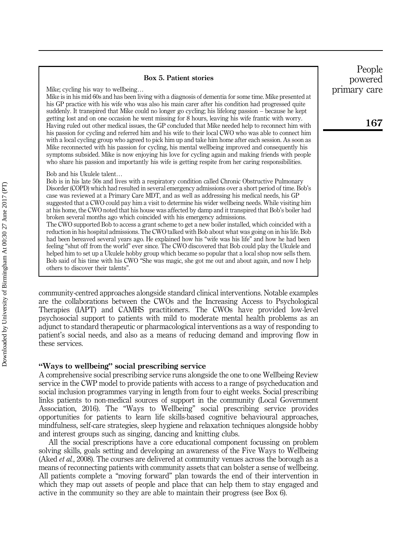#### Box 5. Patient stories

Mike; cycling his way to wellbeing…

Mike is in his mid 60s and has been living with a diagnosis of dementia for some time. Mike presented at his GP practice with his wife who was also his main carer after his condition had progressed quite suddenly. It transpired that Mike could no longer go cycling; his lifelong passion – because he kept getting lost and on one occasion he went missing for 8 hours, leaving his wife frantic with worry. Having ruled out other medical issues, the GP concluded that Mike needed help to reconnect him with his passion for cycling and referred him and his wife to their local CWO who was able to connect him with a local cycling group who agreed to pick him up and take him home after each session. As soon as Mike reconnected with his passion for cycling, his mental wellbeing improved and consequently his symptoms subsided. Mike is now enjoying his love for cycling again and making friends with people who share his passion and importantly his wife is getting respite from her caring responsibilities.

Bob and his Ukulele talent…

Bob is in his late 50s and lives with a respiratory condition called Chronic Obstructive Pulmonary Disorder (COPD) which had resulted in several emergency admissions over a short period of time. Bob's case was reviewed at a Primary Care MDT, and as well as addressing his medical needs, his GP suggested that a CWO could pay him a visit to determine his wider wellbeing needs. While visiting him at his home, the CWO noted that his house was affected by damp and it transpired that Bob's boiler had broken several months ago which coincided with his emergency admissions. The CWO supported Bob to access a grant scheme to get a new boiler installed, which coincided with a reduction in his hospital admissions. The CWO talked with Bob about what was going on in his life. Bob had been bereaved several years ago. He explained how his "wife was his life" and how he had been feeling "shut off from the world" ever since. The CWO discovered that Bob could play the Ukulele and helped him to set up a Ukulele hobby group which became so popular that a local shop now sells them. Bob said of his time with his CWO "She was magic, she got me out and about again, and now I help others to discover their talents".

community-centred approaches alongside standard clinical interventions. Notable examples are the collaborations between the CWOs and the Increasing Access to Psychological Therapies (IAPT) and CAMHS practitioners. The CWOs have provided low-level psychosocial support to patients with mild to moderate mental health problems as an adjunct to standard therapeutic or pharmacological interventions as a way of responding to patient's social needs, and also as a means of reducing demand and improving flow in these services.

#### "Ways to wellbeing" social prescribing service

A comprehensive social prescribing service runs alongside the one to one Wellbeing Review service in the CWP model to provide patients with access to a range of psycheducation and social inclusion programmes varying in length from four to eight weeks. Social prescribing links patients to non-medical sources of support in the community (Local Government Association, 2016). The "Ways to Wellbeing" social prescribing service provides opportunities for patients to learn life skills-based cognitive behavioural approaches, mindfulness, self-care strategies, sleep hygiene and relaxation techniques alongside hobby and interest groups such as singing, dancing and knitting clubs.

All the social prescriptions have a core educational component focussing on problem solving skills, goals setting and developing an awareness of the Five Ways to Wellbeing (Aked *et al.*, 2008). The courses are delivered at community venues across the borough as a means of reconnecting patients with community assets that can bolster a sense of wellbeing. All patients complete a "moving forward" plan towards the end of their intervention in which they map out assets of people and place that can help them to stay engaged and active in the community so they are able to maintain their progress (see Box 6).

People powered primary care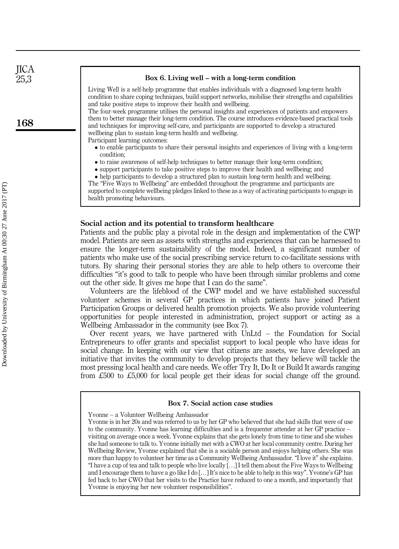| JICA<br>25,3 | Box 6. Living well – with a long-term condition                                                                                                                                                                                                                                                                                                                                                                                                                                                                                                                                                                                                                                                                                                                                                                                                                                                                                                                                                                                                                                                                                                                                                                                                                                                                                               |
|--------------|-----------------------------------------------------------------------------------------------------------------------------------------------------------------------------------------------------------------------------------------------------------------------------------------------------------------------------------------------------------------------------------------------------------------------------------------------------------------------------------------------------------------------------------------------------------------------------------------------------------------------------------------------------------------------------------------------------------------------------------------------------------------------------------------------------------------------------------------------------------------------------------------------------------------------------------------------------------------------------------------------------------------------------------------------------------------------------------------------------------------------------------------------------------------------------------------------------------------------------------------------------------------------------------------------------------------------------------------------|
| 168          | Living Well is a self-help programme that enables individuals with a diagnosed long-term health<br>condition to share coping techniques, build support networks, mobilise their strengths and capabilities<br>and take positive steps to improve their health and wellbeing.<br>The four-week programme utilises the personal insights and experiences of patients and empowers<br>them to better manage their long-term condition. The course introduces evidence-based practical tools<br>and techniques for improving self-care, and participants are supported to develop a structured<br>wellbeing plan to sustain long-term health and wellbeing.<br>Participant learning outcomes:<br>• to enable participants to share their personal insights and experiences of living with a long-term<br>condition;<br>• to raise awareness of self-help techniques to better manage their long-term condition;<br>• support participants to take positive steps to improve their health and wellbeing; and<br>• help participants to develop a structured plan to sustain long-term health and wellbeing.<br>The "Five Ways to Wellbeing" are embedded throughout the programme and participants are<br>supported to complete wellbeing pledges linked to these as a way of activating participants to engage in<br>health promoting behaviours. |

#### Social action and its potential to transform healthcare

Patients and the public play a pivotal role in the design and implementation of the CWP model. Patients are seen as assets with strengths and experiences that can be harnessed to ensure the longer-term sustainability of the model. Indeed, a significant number of patients who make use of the social prescribing service return to co-facilitate sessions with tutors. By sharing their personal stories they are able to help others to overcome their difficulties "it's good to talk to people who have been through similar problems and come out the other side. It gives me hope that I can do the same".

Volunteers are the lifeblood of the CWP model and we have established successful volunteer schemes in several GP practices in which patients have joined Patient Participation Groups or delivered health promotion projects. We also provide volunteering opportunities for people interested in administration, project support or acting as a Wellbeing Ambassador in the community (see Box 7).

Over recent years, we have partnered with UnLtd – the Foundation for Social Entrepreneurs to offer grants and specialist support to local people who have ideas for social change. In keeping with our view that citizens are assets, we have developed an initiative that invites the community to develop projects that they believe will tackle the most pressing local health and care needs. We offer Try It, Do It or Build It awards ranging from £500 to £5,000 for local people get their ideas for social change off the ground.

#### Box 7. Social action case studies

Yvonne – a Volunteer Wellbeing Ambassador

Yvonne is in her 20s and was referred to us by her GP who believed that she had skills that were of use to the community. Yvonne has learning difficulties and is a frequenter attender at her GP practice – visiting on average once a week. Yvonne explains that she gets lonely from time to time and she wishes she had someone to talk to. Yvonne initially met with a CWO at her local community centre. During her Wellbeing Review, Yvonne explained that she is a sociable person and enjoys helping others. She was more than happy to volunteer her time as a Community Wellbeing Ambassador. "I love it" she explains. "I have a cup of tea and talk to people who live locally […] I tell them about the Five Ways to Wellbeing and I encourage them to have a go like I do […] It's nice to be able to help in this way". Yvonne's GP has fed back to her CWO that her visits to the Practice have reduced to one a month, and importantly that Yvonne is enjoying her new volunteer responsibilities".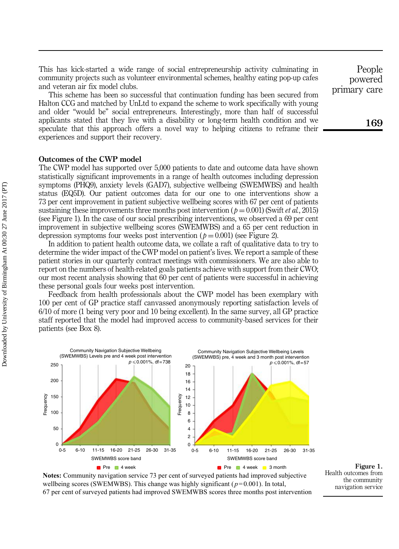This has kick-started a wide range of social entrepreneurship activity culminating in community projects such as volunteer environmental schemes, healthy eating pop-up cafes and veteran air fix model clubs.

This scheme has been so successful that continuation funding has been secured from Halton CCG and matched by UnLtd to expand the scheme to work specifically with young and older "would be" social entrepreneurs. Interestingly, more than half of successful applicants stated that they live with a disability or long-term health condition and we speculate that this approach offers a novel way to helping citizens to reframe their experiences and support their recovery.

#### Outcomes of the CWP model

The CWP model has supported over 5,000 patients to date and outcome data have shown statistically significant improvements in a range of health outcomes including depression symptoms (PHQ9), anxiety levels (GAD7), subjective wellbeing (SWEMWBS) and health status (EQ5D). Our patient outcomes data for our one to one interventions show a 73 per cent improvement in patient subjective wellbeing scores with 67 per cent of patients sustaining these improvements three months post intervention ( $p = 0.001$ ) (Swift *et al.*, 2015) (see Figure 1). In the case of our social prescribing interventions, we observed a 69 per cent improvement in subjective wellbeing scores (SWEMWBS) and a 65 per cent reduction in depression symptoms four weeks post intervention ( $p = 0.001$ ) (see Figure 2).

In addition to patient health outcome data, we collate a raft of qualitative data to try to determine the wider impact of the CWP model on patient's lives. We report a sample of these patient stories in our quarterly contract meetings with commissioners. We are also able to report on the numbers of health-related goals patients achieve with support from their CWO; our most recent analysis showing that 60 per cent of patients were successful in achieving these personal goals four weeks post intervention.

Feedback from health professionals about the CWP model has been exemplary with 100 per cent of GP practice staff canvassed anonymously reporting satisfaction levels of 6/10 of more (1 being very poor and 10 being excellent). In the same survey, all GP practice staff reported that the model had improved access to community-based services for their patients (see Box 8).





Health outcomes from the community navigation service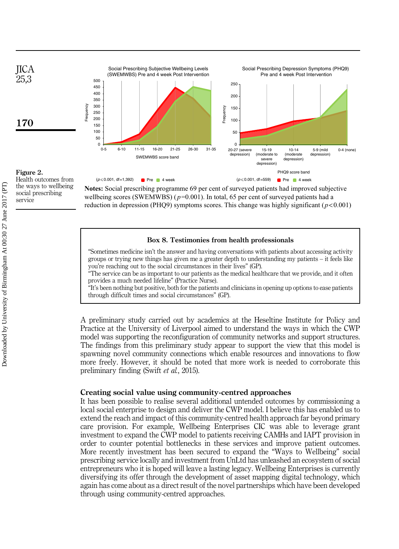

Health outcomes from the ways to wellbeing social prescribing service

#### **Notes:** Social prescribing programme 69 per cent of surveyed patients had improved subjective wellbeing scores (SWEMWBS) ( $p=0.001$ ). In total, 65 per cent of surveyed patients had a reduction in depression (PHQ9) symptoms scores. This change was highly significant ( $p < 0.001$ )

#### Box 8. Testimonies from health professionals

"Sometimes medicine isn't the answer and having conversations with patients about accessing activity groups or trying new things has given me a greater depth to understanding my patients – it feels like you're reaching out to the social circumstances in their lives" (GP).

"The service can be as important to our patients as the medical healthcare that we provide, and it often provides a much needed lifeline" (Practice Nurse).

"It's been nothing but positive, both for the patients and clinicians in opening up options to ease patients through difficult times and social circumstances" (GP).

A preliminary study carried out by academics at the Heseltine Institute for Policy and Practice at the University of Liverpool aimed to understand the ways in which the CWP model was supporting the reconfiguration of community networks and support structures. The findings from this preliminary study appear to support the view that this model is spawning novel community connections which enable resources and innovations to flow more freely. However, it should be noted that more work is needed to corroborate this preliminary finding (Swift et al., 2015).

#### Creating social value using community-centred approaches

It has been possible to realise several additional untended outcomes by commissioning a local social enterprise to design and deliver the CWP model. I believe this has enabled us to extend the reach and impact of this community-centred health approach far beyond primary care provision. For example, Wellbeing Enterprises CIC was able to leverage grant investment to expand the CWP model to patients receiving CAMHs and IAPT provision in order to counter potential bottlenecks in these services and improve patient outcomes. More recently investment has been secured to expand the "Ways to Wellbeing" social prescribing service locally and investment from UnLtd has unleashed an ecosystem of social entrepreneurs who it is hoped will leave a lasting legacy. Wellbeing Enterprises is currently diversifying its offer through the development of asset mapping digital technology, which again has come about as a direct result of the novel partnerships which have been developed through using community-centred approaches.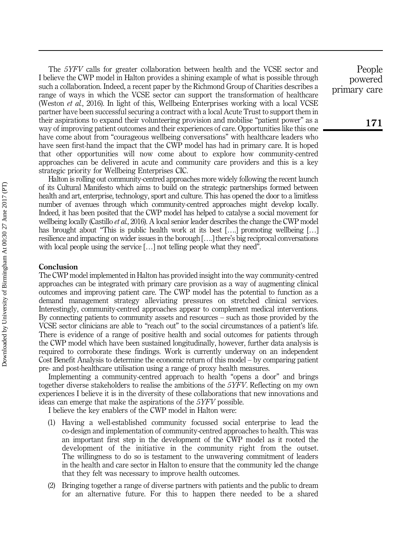The 5YFV calls for greater collaboration between health and the VCSE sector and I believe the CWP model in Halton provides a shining example of what is possible through such a collaboration. Indeed, a recent paper by the Richmond Group of Charities describes a range of ways in which the VCSE sector can support the transformation of healthcare (Weston *et al.*, 2016). In light of this, Wellbeing Enterprises working with a local VCSE partner have been successful securing a contract with a local Acute Trust to support them in their aspirations to expand their volunteering provision and mobilise "patient power" as a way of improving patient outcomes and their experiences of care. Opportunities like this one have come about from "courageous wellbeing conversations" with healthcare leaders who have seen first-hand the impact that the CWP model has had in primary care. It is hoped that other opportunities will now come about to explore how community-centred approaches can be delivered in acute and community care providers and this is a key strategic priority for Wellbeing Enterprises CIC.

Halton is rolling out community-centred approaches more widely following the recent launch of its Cultural Manifesto which aims to build on the strategic partnerships formed between health and art, enterprise, technology, sport and culture. This has opened the door to a limitless number of avenues through which community-centred approaches might develop locally. Indeed, it has been posited that the CWP model has helped to catalyse a social movement for wellbeing locally (Castillo et al., 2016). A local senior leader describes the change the CWP model has brought about "This is public health work at its best [...] promoting wellbeing [...] resilience and impacting on wider issues in the borough [….] there's big reciprocal conversations with local people using the service [...] not telling people what they need".

#### Conclusion

The CWP model implemented in Halton has provided insight into the way community-centred approaches can be integrated with primary care provision as a way of augmenting clinical outcomes and improving patient care. The CWP model has the potential to function as a demand management strategy alleviating pressures on stretched clinical services. Interestingly, community-centred approaches appear to complement medical interventions. By connecting patients to community assets and resources – such as those provided by the VCSE sector clinicians are able to "reach out" to the social circumstances of a patient's life. There is evidence of a range of positive health and social outcomes for patients through the CWP model which have been sustained longitudinally, however, further data analysis is required to corroborate these findings. Work is currently underway on an independent Cost Benefit Analysis to determine the economic return of this model – by comparing patient pre- and post-healthcare utilisation using a range of proxy health measures.

Implementing a community-centred approach to health "opens a door" and brings together diverse stakeholders to realise the ambitions of the  $5YFV$ . Reflecting on my own experiences I believe it is in the diversity of these collaborations that new innovations and ideas can emerge that make the aspirations of the 5YFV possible.

I believe the key enablers of the CWP model in Halton were:

- (1) Having a well-established community focussed social enterprise to lead the co-design and implementation of community-centred approaches to health. This was an important first step in the development of the CWP model as it rooted the development of the initiative in the community right from the outset. The willingness to do so is testament to the unwavering commitment of leaders in the health and care sector in Halton to ensure that the community led the change that they felt was necessary to improve health outcomes.
- (2) Bringing together a range of diverse partners with patients and the public to dream for an alternative future. For this to happen there needed to be a shared

People powered primary care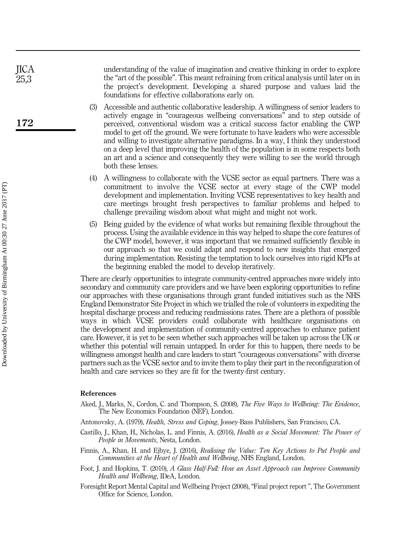understanding of the value of imagination and creative thinking in order to explore the "art of the possible". This meant refraining from critical analysis until later on in the project's development. Developing a shared purpose and values laid the foundations for effective collaborations early on.

- (3) Accessible and authentic collaborative leadership. A willingness of senior leaders to actively engage in "courageous wellbeing conversations" and to step outside of perceived, conventional wisdom was a critical success factor enabling the CWP model to get off the ground. We were fortunate to have leaders who were accessible and willing to investigate alternative paradigms. In a way, I think they understood on a deep level that improving the health of the population is in some respects both an art and a science and consequently they were willing to see the world through both these lenses.
- (4) A willingness to collaborate with the VCSE sector as equal partners. There was a commitment to involve the VCSE sector at every stage of the CWP model development and implementation. Inviting VCSE representatives to key health and care meetings brought fresh perspectives to familiar problems and helped to challenge prevailing wisdom about what might and might not work.
- (5) Being guided by the evidence of what works but remaining flexible throughout the process. Using the available evidence in this way helped to shape the core features of the CWP model, however, it was important that we remained sufficiently flexible in our approach so that we could adapt and respond to new insights that emerged during implementation. Resisting the temptation to lock ourselves into rigid KPIs at the beginning enabled the model to develop iteratively.

There are clearly opportunities to integrate community-centred approaches more widely into secondary and community care providers and we have been exploring opportunities to refine our approaches with these organisations through grant funded initiatives such as the NHS England Demonstrator Site Project in which we trialled the role of volunteers in expediting the hospital discharge process and reducing readmissions rates. There are a plethora of possible ways in which VCSE providers could collaborate with healthcare organisations on the development and implementation of community-centred approaches to enhance patient care. However, it is yet to be seen whether such approaches will be taken up across the UK or whether this potential will remain untapped. In order for this to happen, there needs to be willingness amongst health and care leaders to start "courageous conversations" with diverse partners such as the VCSE sector and to invite them to play their part in the reconfiguration of health and care services so they are fit for the twenty-first century.

#### References

- Aked, J., Marks, N., Cordon, C. and Thompson, S. (2008), The Five Ways to Wellbeing: The Evidence, The New Economics Foundation (NEF), London.
- Antonovsky, A. (1979), Health, Stress and Coping, Jossey-Bass Publishers, San Francisco, CA.
- Castillo, J., Khan, H., Nicholas, L. and Finnis, A. (2016), Health as a Social Movement: The Power of People in Movements, Nesta, London.
- Finnis, A., Khan, H. and Ejbye, J. (2016), Realising the Value: Ten Key Actions to Put People and Communities at the Heart of Health and Wellbeing, NHS England, London.
- Foot, J. and Hopkins, T. (2010), A Glass Half-Full: How an Asset Approach can Improve Community Health and Wellbeing, IDeA, London.
- Foresight Report Mental Capital and Wellbeing Project (2008), "Final project report ", The Government Office for Science, London.